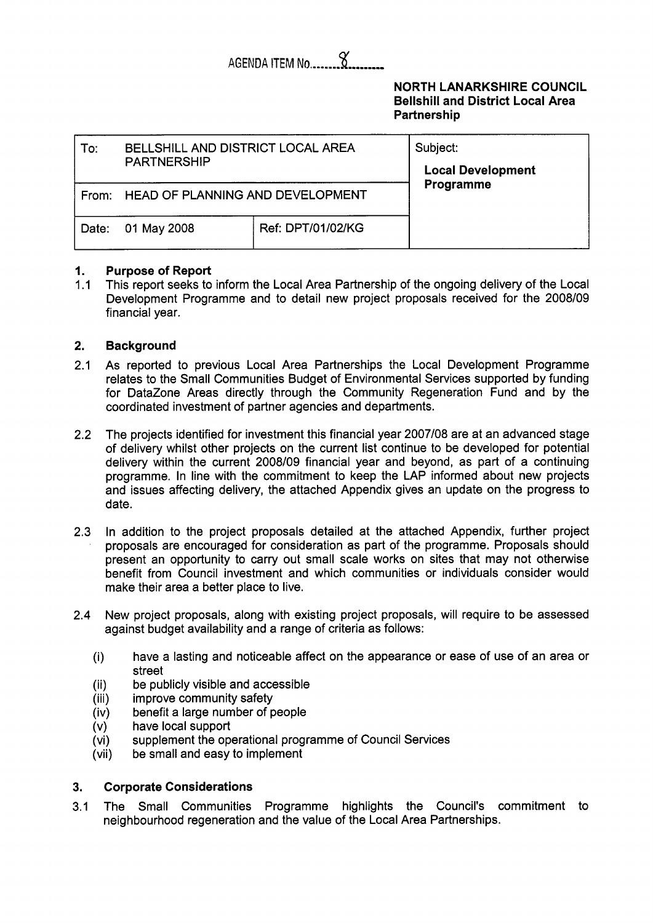### $\alpha$ AGENDA ITEM No......

## **NORTH LANARKSHIRE COUNCIL Bellshill and District Local Area Partnership**

| To:   | BELLSHILL AND DISTRICT LOCAL AREA<br><b>PARTNERSHIP</b> |                          | Subject:<br><b>Local Development</b> |
|-------|---------------------------------------------------------|--------------------------|--------------------------------------|
|       | From: HEAD OF PLANNING AND DEVELOPMENT                  | Programme                |                                      |
| Date: | 01 May 2008                                             | <b>Ref: DPT/01/02/KG</b> |                                      |

## **1. 1. Purpose of Report**<br>1.1 This report seeks to

This report seeks to inform the Local Area Partnership of the ongoing delivery of the Local Development Programme and to detail new project proposals received for the 2008/09 financial year.

#### **2. Background**

- 2.1 As reported to previous Local Area Partnerships the Local Development Programme relates to the Small Communities Budget of Environmental Services supported by funding for DataZone Areas directly through the Community Regeneration Fund and by the coordinated investment of partner agencies and departments.
- 2.2 The projects identified for investment this financial year 2007/08 are at an advanced stage of delivery whilst other projects on the current list continue to be developed for potential delivery within the current 2008/09 financial year and beyond, as part of a continuing programme. In line with the commitment to keep the LAP informed about new projects and issues affecting delivery, the attached Appendix gives an update on the progress to date.
- 2.3 In addition to the project proposals detailed at the attached Appendix, further project proposals are encouraged for consideration as part of the programme. Proposals should present an opportunity to carry out small scale works on sites that may not otherwise benefit from Council investment and which communities or individuals consider would make their area a better place to live.
- 2.4 New project proposals, along with existing project proposals, will require to be assessed against budget availability and a range of criteria as follows:
	- (i) have a lasting and noticeable affect on the appearance or ease of use of an area or street
	- (ii) be publicly visible and accessible
	- improve community safety
	- (iv)<br>(v) benefit a large number of people
	- have local support
	- (vi) supplement the operational programme of Council Services
	- (vi) be small and easy to implement

## **3. Corporate Considerations**

3.1 The Small Communities Programme highlights the Council's commitment to neighbourhood regeneration and the value of the Local Area Partnerships.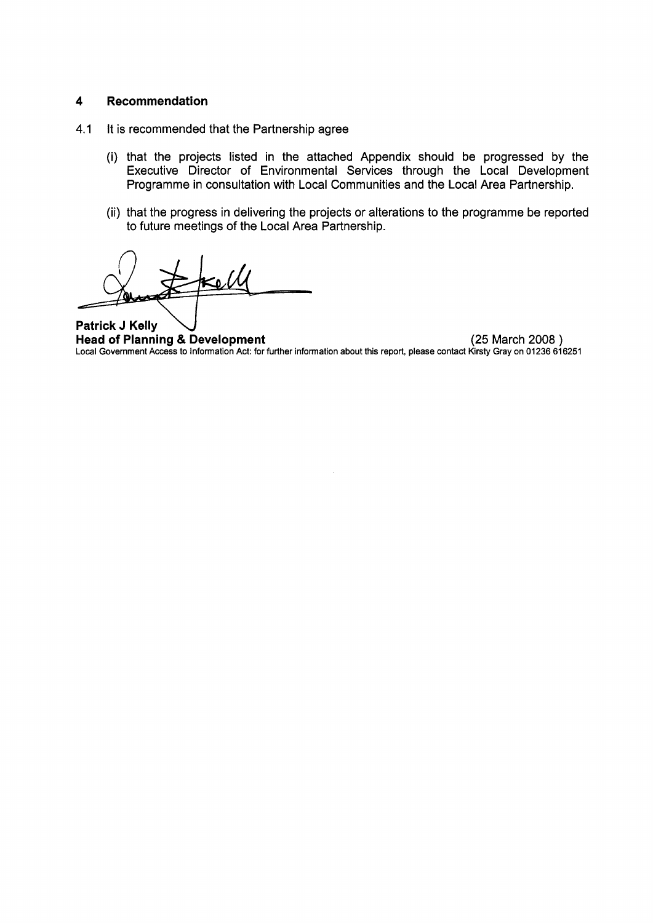## **4 Recommendation**

- **4.1** It is recommended that the Partnership agree
	- (i) that the projects listed in the attached Appendix should be progressed by the Executive Director of Environmental Services through the Local Development Programme in consultation with Local Communities and the Local Area Partnership.
	- (ii) that the progress in delivering the projects or alterations to the programme be reported to future meetings of the Local Area Partnership.

**Patrick J Kelly Head of Planning** & **Development** (25 March 2008 ) Local Government Access to Information Act: for further information about this report, please contact Kirsty Gray on **01236 616251**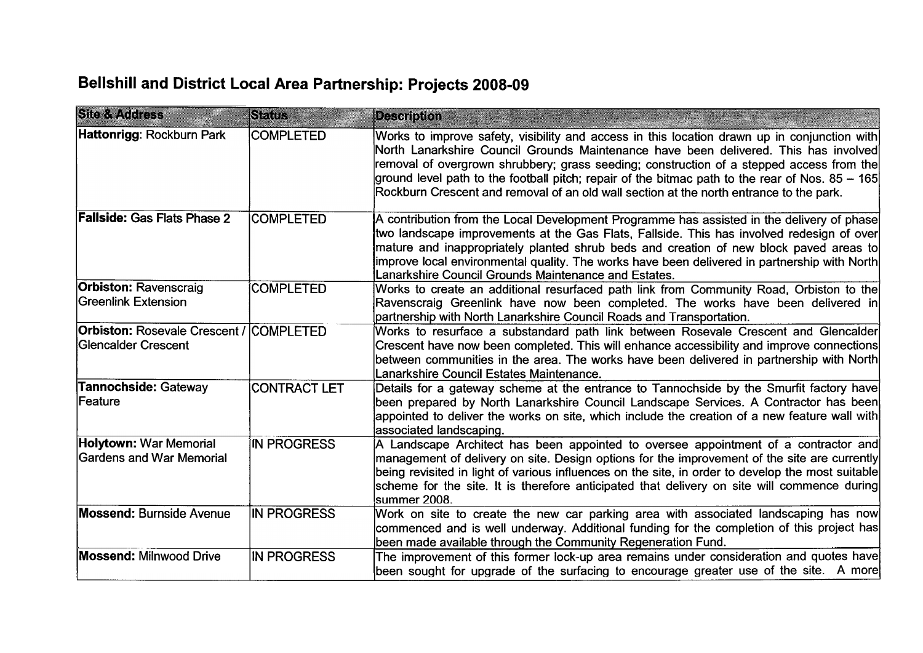# **Bellshill and District Local Area Partnership: Projects 2008-09**

| <b>Site &amp; Address</b>                                             | SERIE               | <b>Description</b>                                                                                                                                                                                                                                                                                                                                                                                                                                                             |
|-----------------------------------------------------------------------|---------------------|--------------------------------------------------------------------------------------------------------------------------------------------------------------------------------------------------------------------------------------------------------------------------------------------------------------------------------------------------------------------------------------------------------------------------------------------------------------------------------|
| Hattonrigg: Rockburn Park                                             | <b>COMPLETED</b>    | Works to improve safety, visibility and access in this location drawn up in conjunction with<br>North Lanarkshire Council Grounds Maintenance have been delivered. This has involved<br>removal of overgrown shrubbery; grass seeding; construction of a stepped access from the<br>ground level path to the football pitch; repair of the bitmac path to the rear of Nos. 85 – 165<br>Rockburn Crescent and removal of an old wall section at the north entrance to the park. |
| <b>Fallside: Gas Flats Phase 2</b>                                    | <b>COMPLETED</b>    | A contribution from the Local Development Programme has assisted in the delivery of phase<br>two landscape improvements at the Gas Flats, Fallside. This has involved redesign of over<br>mature and inappropriately planted shrub beds and creation of new block paved areas to<br>improve local environmental quality. The works have been delivered in partnership with North<br>Lanarkshire Council Grounds Maintenance and Estates.                                       |
| <b>Orbiston: Ravenscraig</b><br>Greenlink Extension                   | <b>COMPLETED</b>    | Works to create an additional resurfaced path link from Community Road, Orbiston to the<br>Ravenscraig Greenlink have now been completed. The works have been delivered in<br>partnership with North Lanarkshire Council Roads and Transportation.                                                                                                                                                                                                                             |
| <b>Orbiston: Rosevale Crescent / COMPLETED</b><br>Glencalder Crescent |                     | Works to resurface a substandard path link between Rosevale Crescent and Glencalder<br>Crescent have now been completed. This will enhance accessibility and improve connections<br>between communities in the area. The works have been delivered in partnership with North<br>Lanarkshire Council Estates Maintenance.                                                                                                                                                       |
| Tannochside: Gateway<br>lFeature                                      | <b>CONTRACT LET</b> | Details for a gateway scheme at the entrance to Tannochside by the Smurfit factory have<br>been prepared by North Lanarkshire Council Landscape Services. A Contractor has been<br>appointed to deliver the works on site, which include the creation of a new feature wall with<br>associated landscaping.                                                                                                                                                                    |
| <b>Holytown: War Memorial</b><br>Gardens and War Memorial             | IN PROGRESS         | A Landscape Architect has been appointed to oversee appointment of a contractor and<br>management of delivery on site. Design options for the improvement of the site are currently<br>being revisited in light of various influences on the site, in order to develop the most suitable<br>scheme for the site. It is therefore anticipated that delivery on site will commence during<br>summer 2008.                                                                        |
| <b>Mossend: Burnside Avenue</b>                                       | <b>IN PROGRESS</b>  | Work on site to create the new car parking area with associated landscaping has now<br>commenced and is well underway. Additional funding for the completion of this project has<br>been made available through the Community Regeneration Fund.                                                                                                                                                                                                                               |
| <b>Mossend: Milnwood Drive</b>                                        | <b>IN PROGRESS</b>  | The improvement of this former lock-up area remains under consideration and quotes have<br>been sought for upgrade of the surfacing to encourage greater use of the site. A more                                                                                                                                                                                                                                                                                               |